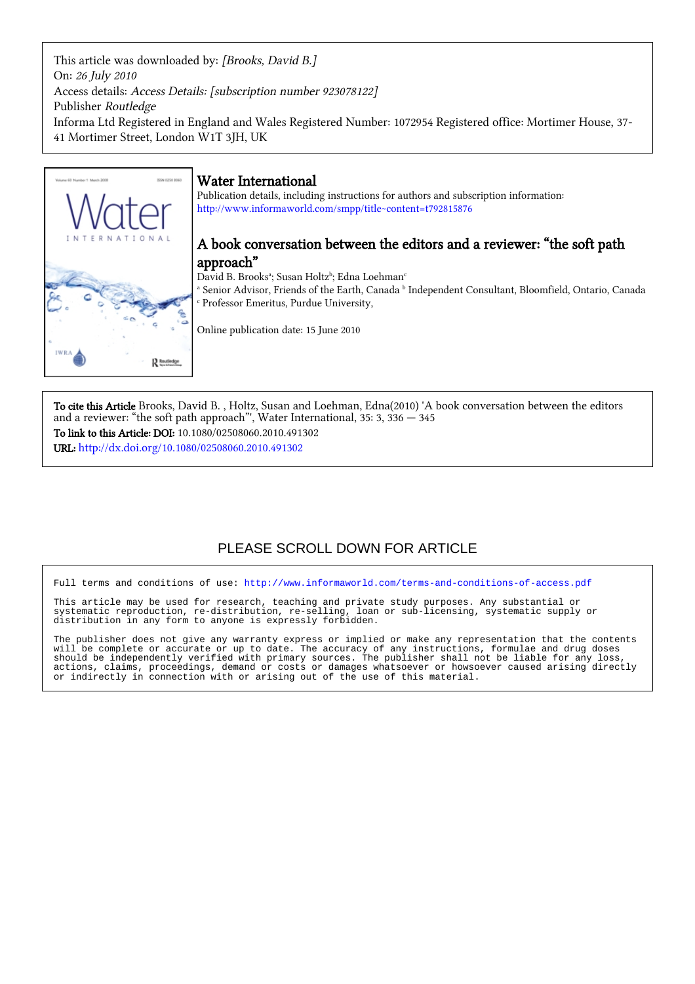This article was downloaded by: [Brooks, David B.] On: 26 July 2010 Access details: Access Details: [subscription number 923078122] Publisher Routledge Informa Ltd Registered in England and Wales Registered Number: 1072954 Registered office: Mortimer House, 37- 41 Mortimer Street, London W1T 3JH, UK



## Water International

Publication details, including instructions for authors and subscription information: <http://www.informaworld.com/smpp/title~content=t792815876>

# A book conversation between the editors and a reviewer: "the soft path approach"

David B. Brooksª; Susan Holtzʰ; Edna Loehman<sup>c</sup>

<sup>a</sup> Senior Advisor, Friends of the Earth, Canada <sup>b</sup> Independent Consultant, Bloomfield, Ontario, Canada c Professor Emeritus, Purdue University,

Online publication date: 15 June 2010

To cite this Article Brooks, David B. , Holtz, Susan and Loehman, Edna(2010) 'A book conversation between the editors and a reviewer: "the soft path approach"', Water International, 35: 3, 336 — 345 To link to this Article: DOI: 10.1080/02508060.2010.491302 URL: <http://dx.doi.org/10.1080/02508060.2010.491302>

# PLEASE SCROLL DOWN FOR ARTICLE

Full terms and conditions of use:<http://www.informaworld.com/terms-and-conditions-of-access.pdf>

This article may be used for research, teaching and private study purposes. Any substantial or systematic reproduction, re-distribution, re-selling, loan or sub-licensing, systematic supply or distribution in any form to anyone is expressly forbidden.

The publisher does not give any warranty express or implied or make any representation that the contents will be complete or accurate or up to date. The accuracy of any instructions, formulae and drug doses should be independently verified with primary sources. The publisher shall not be liable for any loss, actions, claims, proceedings, demand or costs or damages whatsoever or howsoever caused arising directly or indirectly in connection with or arising out of the use of this material.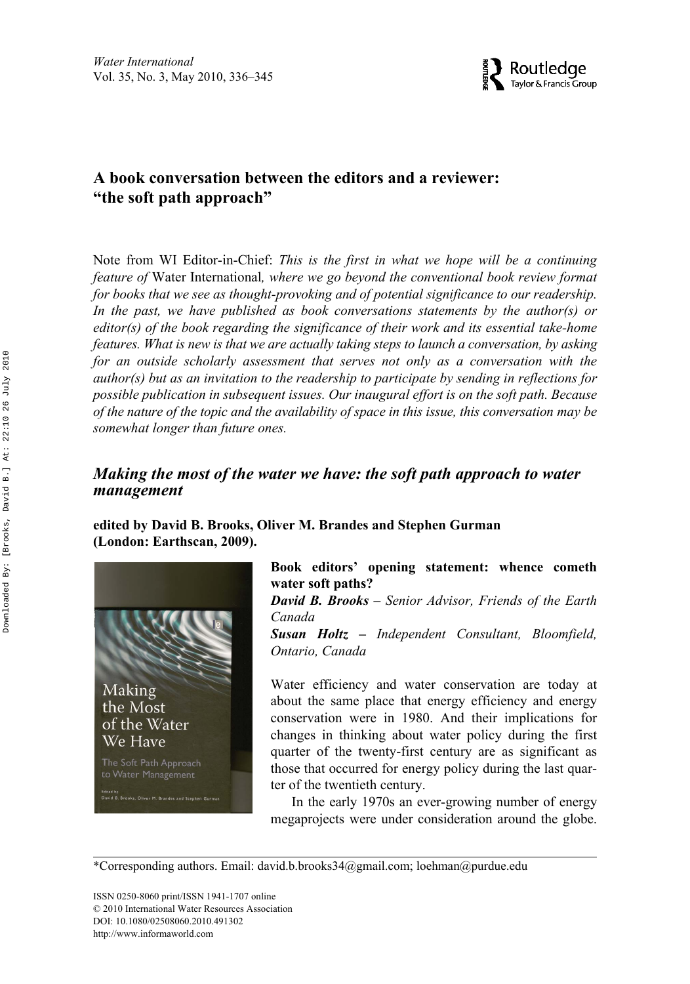

## RWIN 0250-8060 1941-1707Water International, Vol. 35, No. 3, May 2010: pp. 0–0 International **A book conversation between the editors and a reviewer: "the soft path approach"**

Note from WI Editor-in-Chief: *This is the first in what we hope will be a continuing feature of* Water International*, where we go beyond the conventional book review format for books that we see as thought-provoking and of potential significance to our readership. In the past, we have published as book conversations statements by the author(s) or editor(s) of the book regarding the significance of their work and its essential take-home features. What is new is that we are actually taking steps to launch a conversation, by asking for an outside scholarly assessment that serves not only as a conversation with the author(s) but as an invitation to the readership to participate by sending in reflections for possible publication in subsequent issues. Our inaugural effort is on the soft path. Because of the nature of the topic and the availability of space in this issue, this conversation may be somewhat longer than future ones.*

### *Making the most of the water we have: the soft path approach to water management*

**edited by David B. Brooks, Oliver M. Brandes and Stephen Gurman (London: Earthscan, 2009).**



**Book editors' opening statement: whence cometh water soft paths?**

*David B. Brooks – Senior Advisor, Friends of the Earth Canada*

*Susan Holtz – Independent Consultant, Bloomfield, Ontario, Canada*

Water efficiency and water conservation are today at about the same place that energy efficiency and energy conservation were in 1980. And their implications for changes in thinking about water policy during the first quarter of the twenty-first century are as significant as those that occurred for energy policy during the last quarter of the twentieth century.

In the early 1970s an ever-growing number of energy megaprojects were under consideration around the globe.

\*Corresponding authors. Email: david.b.[brooks34@gmail.com;](mailto:brooks34@gmail.com) [loehman@purdue.edu](mailto:loehman@purdue.edu)

ISSN 0250-8060 print/ISSN 1941-1707 online © 2010 International Water Resources Association DOI: 10.1080/02508060.2010.491302 <http://www.informaworld.com>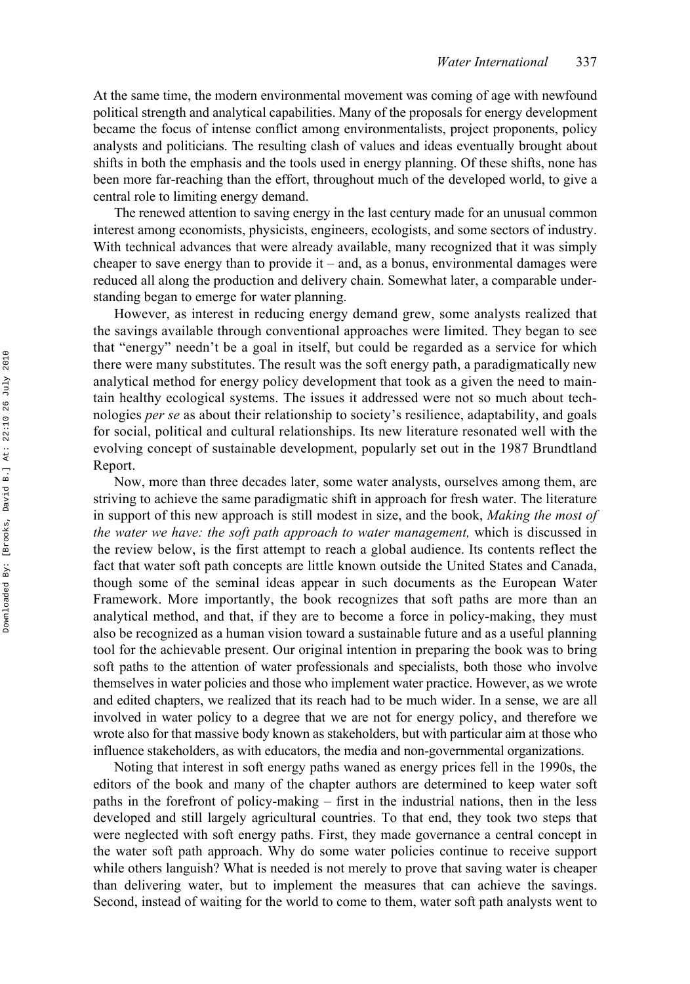At the same time, the modern environmental movement was coming of age with newfound political strength and analytical capabilities. Many of the proposals for energy development became the focus of intense conflict among environmentalists, project proponents, policy analysts and politicians. The resulting clash of values and ideas eventually brought about shifts in both the emphasis and the tools used in energy planning. Of these shifts, none has been more far-reaching than the effort, throughout much of the developed world, to give a central role to limiting energy demand.

The renewed attention to saving energy in the last century made for an unusual common interest among economists, physicists, engineers, ecologists, and some sectors of industry. With technical advances that were already available, many recognized that it was simply cheaper to save energy than to provide it – and, as a bonus, environmental damages were reduced all along the production and delivery chain. Somewhat later, a comparable understanding began to emerge for water planning.

However, as interest in reducing energy demand grew, some analysts realized that the savings available through conventional approaches were limited. They began to see that "energy" needn't be a goal in itself, but could be regarded as a service for which there were many substitutes. The result was the soft energy path, a paradigmatically new analytical method for energy policy development that took as a given the need to maintain healthy ecological systems. The issues it addressed were not so much about technologies *per se* as about their relationship to society's resilience, adaptability, and goals for social, political and cultural relationships. Its new literature resonated well with the evolving concept of sustainable development, popularly set out in the 1987 Brundtland Report.

Now, more than three decades later, some water analysts, ourselves among them, are striving to achieve the same paradigmatic shift in approach for fresh water. The literature in support of this new approach is still modest in size, and the book, *Making the most of the water we have: the soft path approach to water management,* which is discussed in the review below, is the first attempt to reach a global audience. Its contents reflect the fact that water soft path concepts are little known outside the United States and Canada, though some of the seminal ideas appear in such documents as the European Water Framework. More importantly, the book recognizes that soft paths are more than an analytical method, and that, if they are to become a force in policy-making, they must also be recognized as a human vision toward a sustainable future and as a useful planning tool for the achievable present. Our original intention in preparing the book was to bring soft paths to the attention of water professionals and specialists, both those who involve themselves in water policies and those who implement water practice. However, as we wrote and edited chapters, we realized that its reach had to be much wider. In a sense, we are all involved in water policy to a degree that we are not for energy policy, and therefore we wrote also for that massive body known as stakeholders, but with particular aim at those who influence stakeholders, as with educators, the media and non-governmental organizations.

Noting that interest in soft energy paths waned as energy prices fell in the 1990s, the editors of the book and many of the chapter authors are determined to keep water soft paths in the forefront of policy-making – first in the industrial nations, then in the less developed and still largely agricultural countries. To that end, they took two steps that were neglected with soft energy paths. First, they made governance a central concept in the water soft path approach. Why do some water policies continue to receive support while others languish? What is needed is not merely to prove that saving water is cheaper than delivering water, but to implement the measures that can achieve the savings. Second, instead of waiting for the world to come to them, water soft path analysts went to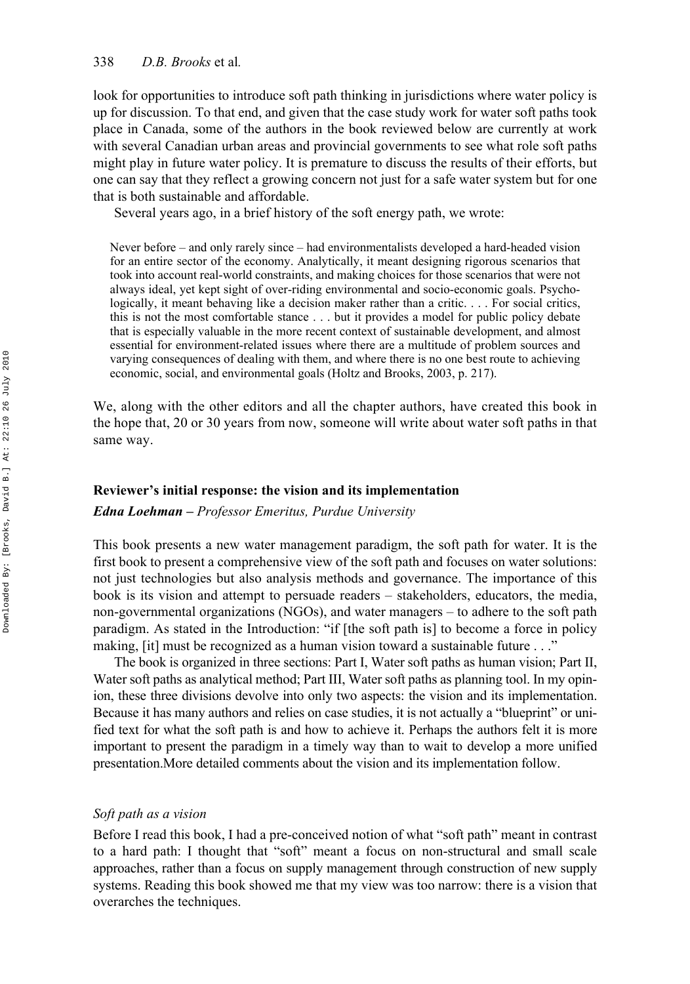look for opportunities to introduce soft path thinking in jurisdictions where water policy is up for discussion. To that end, and given that the case study work for water soft paths took place in Canada, some of the authors in the book reviewed below are currently at work with several Canadian urban areas and provincial governments to see what role soft paths might play in future water policy. It is premature to discuss the results of their efforts, but one can say that they reflect a growing concern not just for a safe water system but for one that is both sustainable and affordable.

Several years ago, in a brief history of the soft energy path, we wrote:

Never before – and only rarely since – had environmentalists developed a hard-headed vision for an entire sector of the economy. Analytically, it meant designing rigorous scenarios that took into account real-world constraints, and making choices for those scenarios that were not always ideal, yet kept sight of over-riding environmental and socio-economic goals. Psychologically, it meant behaving like a decision maker rather than a critic. . . . For social critics, this is not the most comfortable stance . . . but it provides a model for public policy debate that is especially valuable in the more recent context of sustainable development, and almost essential for environment-related issues where there are a multitude of problem sources and varying consequences of dealing with them, and where there is no one best route to achieving economic, social, and environmental goals (Holtz and Brooks, 2003, p. 217).

We, along with the other editors and all the chapter authors, have created this book in the hope that, 20 or 30 years from now, someone will write about water soft paths in that same way.

#### **Reviewer's initial response: the vision and its implementation**

*Edna Loehman – Professor Emeritus, Purdue University*

This book presents a new water management paradigm, the soft path for water. It is the first book to present a comprehensive view of the soft path and focuses on water solutions: not just technologies but also analysis methods and governance. The importance of this book is its vision and attempt to persuade readers – stakeholders, educators, the media, non-governmental organizations (NGOs), and water managers – to adhere to the soft path paradigm. As stated in the Introduction: "if [the soft path is] to become a force in policy making, [it] must be recognized as a human vision toward a sustainable future . . ."

The book is organized in three sections: Part I, Water soft paths as human vision; Part II, Water soft paths as analytical method; Part III, Water soft paths as planning tool. In my opinion, these three divisions devolve into only two aspects: the vision and its implementation. Because it has many authors and relies on case studies, it is not actually a "blueprint" or unified text for what the soft path is and how to achieve it. Perhaps the authors felt it is more important to present the paradigm in a timely way than to wait to develop a more unified presentation.More detailed comments about the vision and its implementation follow.

#### *Soft path as a vision*

Before I read this book, I had a pre-conceived notion of what "soft path" meant in contrast to a hard path: I thought that "soft" meant a focus on non-structural and small scale approaches, rather than a focus on supply management through construction of new supply systems. Reading this book showed me that my view was too narrow: there is a vision that overarches the techniques.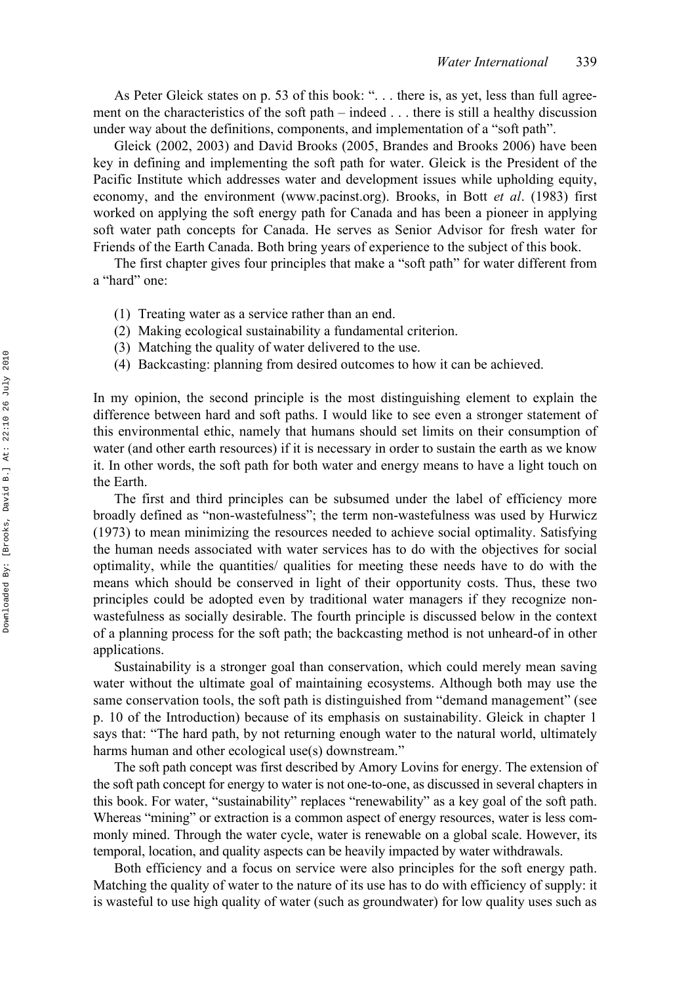As Peter Gleick states on p. 53 of this book: "... there is, as yet, less than full agreement on the characteristics of the soft path – indeed . . . there is still a healthy discussion under way about the definitions, components, and implementation of a "soft path".

Gleick (2002, 2003) and David Brooks (2005, Brandes and Brooks 2006) have been key in defining and implementing the soft path for water. Gleick is the President of the Pacific Institute which addresses water and development issues while upholding equity, economy, and the environment [\(www.pacinst.org](http://www.pacinst.org)). Brooks, in Bott *et al*. (1983) first worked on applying the soft energy path for Canada and has been a pioneer in applying soft water path concepts for Canada. He serves as Senior Advisor for fresh water for Friends of the Earth Canada. Both bring years of experience to the subject of this book.

The first chapter gives four principles that make a "soft path" for water different from a "hard" one:

- (1) Treating water as a service rather than an end.
- (2) Making ecological sustainability a fundamental criterion.
- (3) Matching the quality of water delivered to the use.
- (4) Backcasting: planning from desired outcomes to how it can be achieved.

In my opinion, the second principle is the most distinguishing element to explain the difference between hard and soft paths. I would like to see even a stronger statement of this environmental ethic, namely that humans should set limits on their consumption of water (and other earth resources) if it is necessary in order to sustain the earth as we know it. In other words, the soft path for both water and energy means to have a light touch on the Earth.

The first and third principles can be subsumed under the label of efficiency more broadly defined as "non-wastefulness"; the term non-wastefulness was used by Hurwicz (1973) to mean minimizing the resources needed to achieve social optimality. Satisfying the human needs associated with water services has to do with the objectives for social optimality, while the quantities/ qualities for meeting these needs have to do with the means which should be conserved in light of their opportunity costs. Thus, these two principles could be adopted even by traditional water managers if they recognize nonwastefulness as socially desirable. The fourth principle is discussed below in the context of a planning process for the soft path; the backcasting method is not unheard-of in other applications.

Sustainability is a stronger goal than conservation, which could merely mean saving water without the ultimate goal of maintaining ecosystems. Although both may use the same conservation tools, the soft path is distinguished from "demand management" (see p. 10 of the Introduction) because of its emphasis on sustainability. Gleick in chapter 1 says that: "The hard path, by not returning enough water to the natural world, ultimately harms human and other ecological use(s) downstream."

The soft path concept was first described by Amory Lovins for energy. The extension of the soft path concept for energy to water is not one-to-one, as discussed in several chapters in this book. For water, "sustainability" replaces "renewability" as a key goal of the soft path. Whereas "mining" or extraction is a common aspect of energy resources, water is less commonly mined. Through the water cycle, water is renewable on a global scale. However, its temporal, location, and quality aspects can be heavily impacted by water withdrawals.

Both efficiency and a focus on service were also principles for the soft energy path. Matching the quality of water to the nature of its use has to do with efficiency of supply: it is wasteful to use high quality of water (such as groundwater) for low quality uses such as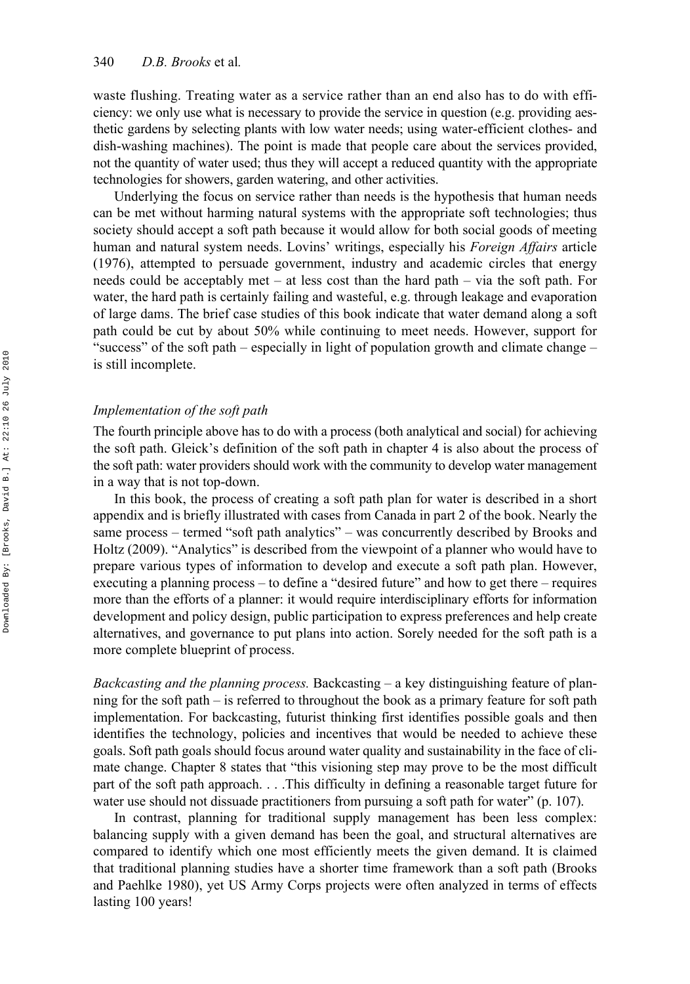waste flushing. Treating water as a service rather than an end also has to do with efficiency: we only use what is necessary to provide the service in question (e.g. providing aesthetic gardens by selecting plants with low water needs; using water-efficient clothes- and dish-washing machines). The point is made that people care about the services provided, not the quantity of water used; thus they will accept a reduced quantity with the appropriate technologies for showers, garden watering, and other activities.

Underlying the focus on service rather than needs is the hypothesis that human needs can be met without harming natural systems with the appropriate soft technologies; thus society should accept a soft path because it would allow for both social goods of meeting human and natural system needs. Lovins' writings, especially his *Foreign Affairs* article (1976), attempted to persuade government, industry and academic circles that energy needs could be acceptably met – at less cost than the hard path – via the soft path. For water, the hard path is certainly failing and wasteful, e.g. through leakage and evaporation of large dams. The brief case studies of this book indicate that water demand along a soft path could be cut by about 50% while continuing to meet needs. However, support for "success" of the soft path – especially in light of population growth and climate change – is still incomplete.

#### *Implementation of the soft path*

The fourth principle above has to do with a process (both analytical and social) for achieving the soft path. Gleick's definition of the soft path in chapter 4 is also about the process of the soft path: water providers should work with the community to develop water management in a way that is not top-down.

In this book, the process of creating a soft path plan for water is described in a short appendix and is briefly illustrated with cases from Canada in part 2 of the book. Nearly the same process – termed "soft path analytics" – was concurrently described by Brooks and Holtz (2009). "Analytics" is described from the viewpoint of a planner who would have to prepare various types of information to develop and execute a soft path plan. However, executing a planning process – to define a "desired future" and how to get there – requires more than the efforts of a planner: it would require interdisciplinary efforts for information development and policy design, public participation to express preferences and help create alternatives, and governance to put plans into action. Sorely needed for the soft path is a more complete blueprint of process.

*Backcasting and the planning process.* Backcasting – a key distinguishing feature of planning for the soft path – is referred to throughout the book as a primary feature for soft path implementation. For backcasting, futurist thinking first identifies possible goals and then identifies the technology, policies and incentives that would be needed to achieve these goals. Soft path goals should focus around water quality and sustainability in the face of climate change. Chapter 8 states that "this visioning step may prove to be the most difficult part of the soft path approach. . . .This difficulty in defining a reasonable target future for water use should not dissuade practitioners from pursuing a soft path for water" (p. 107).

In contrast, planning for traditional supply management has been less complex: balancing supply with a given demand has been the goal, and structural alternatives are compared to identify which one most efficiently meets the given demand. It is claimed that traditional planning studies have a shorter time framework than a soft path (Brooks and Paehlke 1980), yet US Army Corps projects were often analyzed in terms of effects lasting 100 years!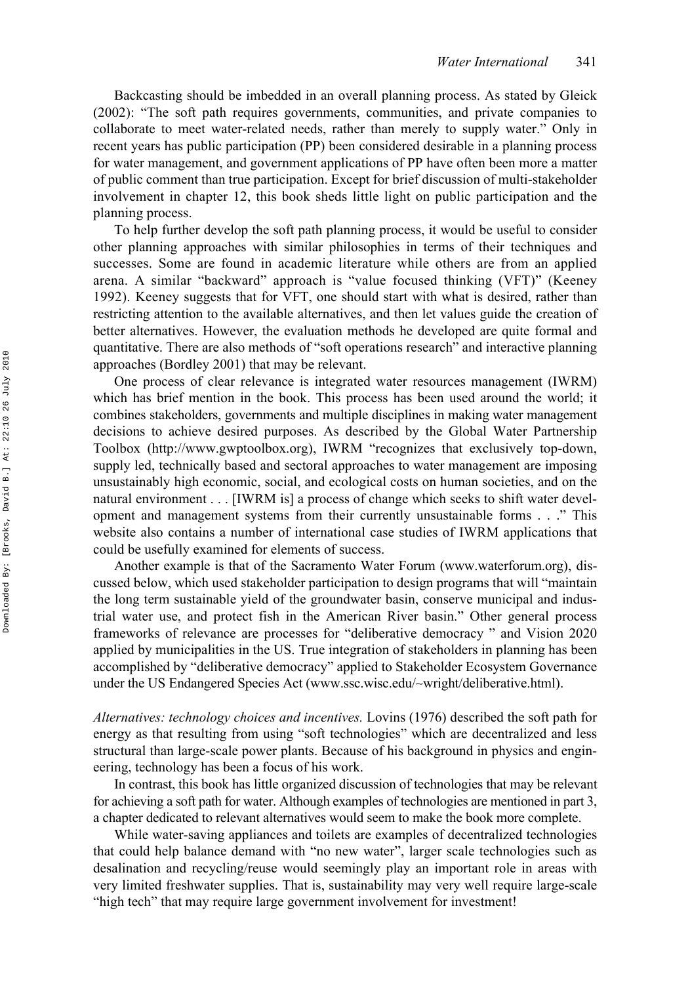Backcasting should be imbedded in an overall planning process. As stated by Gleick (2002): "The soft path requires governments, communities, and private companies to collaborate to meet water-related needs, rather than merely to supply water." Only in recent years has public participation (PP) been considered desirable in a planning process for water management, and government applications of PP have often been more a matter of public comment than true participation. Except for brief discussion of multi-stakeholder involvement in chapter 12, this book sheds little light on public participation and the planning process.

To help further develop the soft path planning process, it would be useful to consider other planning approaches with similar philosophies in terms of their techniques and successes. Some are found in academic literature while others are from an applied arena. A similar "backward" approach is "value focused thinking (VFT)" (Keeney 1992). Keeney suggests that for VFT, one should start with what is desired, rather than restricting attention to the available alternatives, and then let values guide the creation of better alternatives. However, the evaluation methods he developed are quite formal and quantitative. There are also methods of "soft operations research" and interactive planning approaches (Bordley 2001) that may be relevant.

One process of clear relevance is integrated water resources management (IWRM) which has brief mention in the book. This process has been used around the world; it combines stakeholders, governments and multiple disciplines in making water management decisions to achieve desired purposes. As described by the Global Water Partnership Toolbox ([http://www.gwptoolbox.org\), IW](http://www.gwptoolbox.org)RM "recognizes that exclusively top-down, supply led, technically based and sectoral approaches to water management are imposing unsustainably high economic, social, and ecological costs on human societies, and on the natural environment . . . [IWRM is] a process of change which seeks to shift water development and management systems from their currently unsustainable forms . . ." This website also contains a number of international case studies of IWRM applications that could be usefully examined for elements of success.

Another example is that of the Sacramento Water Forum ([www.waterforum.org\), di](http://www.waterforum.org)scussed below, which used stakeholder participation to design programs that will "maintain the long term sustainable yield of the groundwater basin, conserve municipal and industrial water use, and protect fish in the American River basin." Other general process frameworks of relevance are processes for "deliberative democracy " and Vision 2020 applied by municipalities in the US. True integration of stakeholders in planning has been accomplished by "deliberative democracy" applied to Stakeholder Ecosystem Governance under the US Endangered Species Act (www.ssc.wisc.edu/∼[wright/deliberative.html\).](http://www.ssc.wisc.edu/%E2%88%BCwright/deliberative.html%00%00)

*Alternatives: technology choices and incentives.* Lovins (1976) described the soft path for energy as that resulting from using "soft technologies" which are decentralized and less structural than large-scale power plants. Because of his background in physics and engineering, technology has been a focus of his work.

In contrast, this book has little organized discussion of technologies that may be relevant for achieving a soft path for water. Although examples of technologies are mentioned in part 3, a chapter dedicated to relevant alternatives would seem to make the book more complete.

While water-saving appliances and toilets are examples of decentralized technologies that could help balance demand with "no new water", larger scale technologies such as desalination and recycling/reuse would seemingly play an important role in areas with very limited freshwater supplies. That is, sustainability may very well require large-scale "high tech" that may require large government involvement for investment!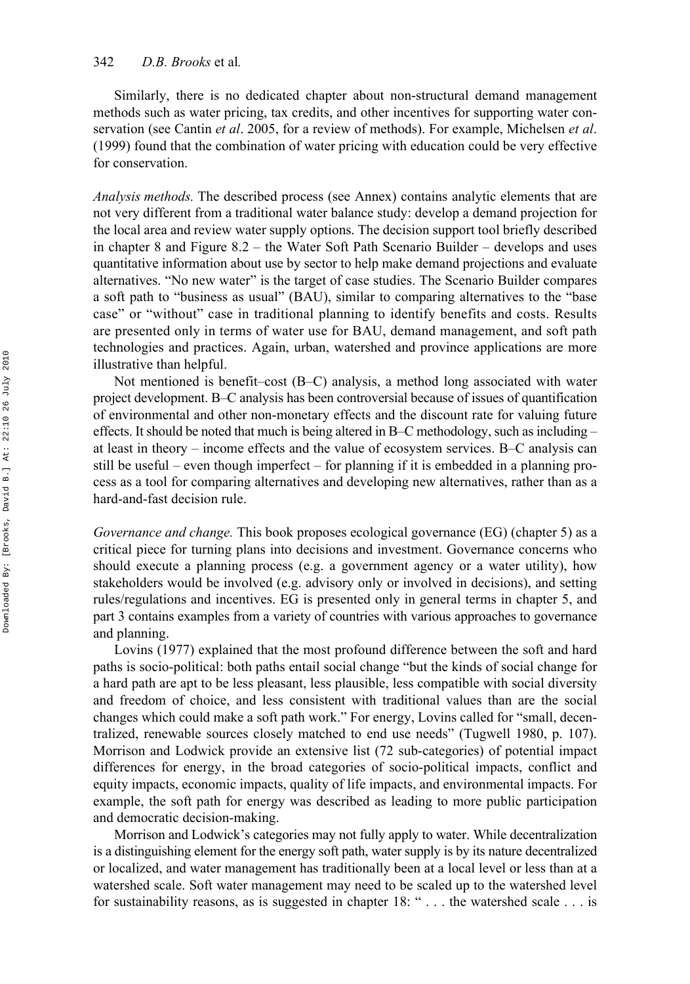Similarly, there is no dedicated chapter about non-structural demand management methods such as water pricing, tax credits, and other incentives for supporting water conservation (see Cantin *et al*. 2005, for a review of methods). For example, Michelsen *et al*. (1999) found that the combination of water pricing with education could be very effective for conservation.

*Analysis methods.* The described process (see Annex) contains analytic elements that are not very different from a traditional water balance study: develop a demand projection for the local area and review water supply options. The decision support tool briefly described in chapter 8 and Figure 8.2 – the Water Soft Path Scenario Builder – develops and uses quantitative information about use by sector to help make demand projections and evaluate alternatives. "No new water" is the target of case studies. The Scenario Builder compares a soft path to "business as usual" (BAU), similar to comparing alternatives to the "base case" or "without" case in traditional planning to identify benefits and costs. Results are presented only in terms of water use for BAU, demand management, and soft path technologies and practices. Again, urban, watershed and province applications are more illustrative than helpful.

Not mentioned is benefit–cost (B–C) analysis, a method long associated with water project development. B–C analysis has been controversial because of issues of quantification of environmental and other non-monetary effects and the discount rate for valuing future effects. It should be noted that much is being altered in B–C methodology, such as including – at least in theory – income effects and the value of ecosystem services. B–C analysis can still be useful – even though imperfect – for planning if it is embedded in a planning process as a tool for comparing alternatives and developing new alternatives, rather than as a hard-and-fast decision rule.

*Governance and change.* This book proposes ecological governance (EG) (chapter 5) as a critical piece for turning plans into decisions and investment. Governance concerns who should execute a planning process (e.g. a government agency or a water utility), how stakeholders would be involved (e.g. advisory only or involved in decisions), and setting rules/regulations and incentives. EG is presented only in general terms in chapter 5, and part 3 contains examples from a variety of countries with various approaches to governance and planning.

Lovins (1977) explained that the most profound difference between the soft and hard paths is socio-political: both paths entail social change "but the kinds of social change for a hard path are apt to be less pleasant, less plausible, less compatible with social diversity and freedom of choice, and less consistent with traditional values than are the social changes which could make a soft path work." For energy, Lovins called for "small, decentralized, renewable sources closely matched to end use needs" (Tugwell 1980, p. 107). Morrison and Lodwick provide an extensive list (72 sub-categories) of potential impact differences for energy, in the broad categories of socio-political impacts, conflict and equity impacts, economic impacts, quality of life impacts, and environmental impacts. For example, the soft path for energy was described as leading to more public participation and democratic decision-making.

Morrison and Lodwick's categories may not fully apply to water. While decentralization is a distinguishing element for the energy soft path, water supply is by its nature decentralized or localized, and water management has traditionally been at a local level or less than at a watershed scale. Soft water management may need to be scaled up to the watershed level for sustainability reasons, as is suggested in chapter 18: " . . . the watershed scale . . . is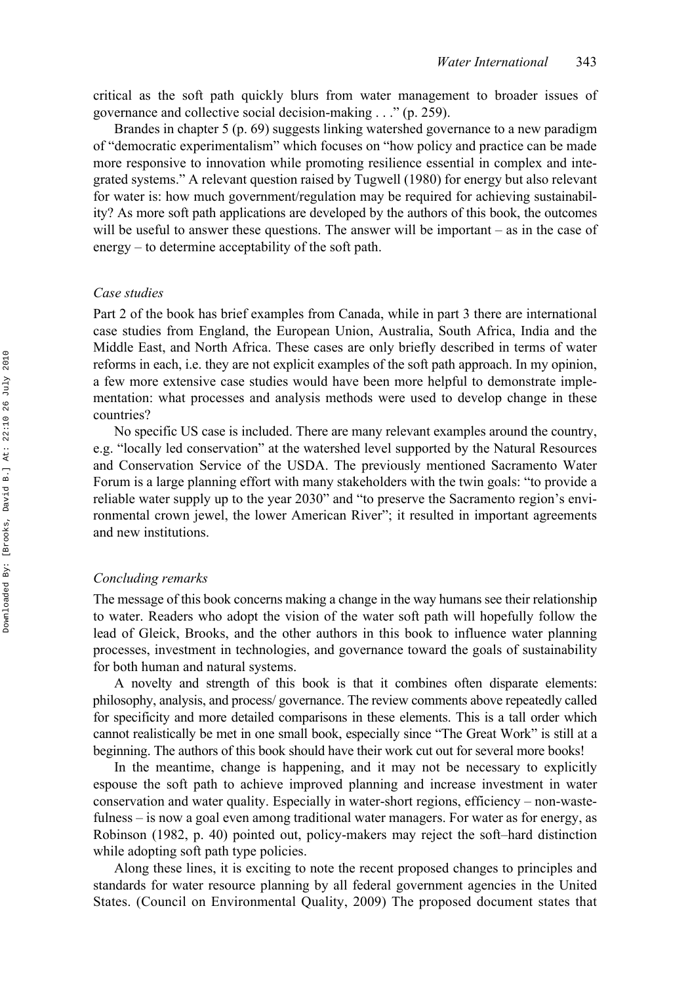critical as the soft path quickly blurs from water management to broader issues of governance and collective social decision-making . . ." (p. 259).

Brandes in chapter 5 (p. 69) suggests linking watershed governance to a new paradigm of "democratic experimentalism" which focuses on "how policy and practice can be made more responsive to innovation while promoting resilience essential in complex and integrated systems." A relevant question raised by Tugwell (1980) for energy but also relevant for water is: how much government/regulation may be required for achieving sustainability? As more soft path applications are developed by the authors of this book, the outcomes will be useful to answer these questions. The answer will be important – as in the case of energy – to determine acceptability of the soft path.

#### *Case studies*

Part 2 of the book has brief examples from Canada, while in part 3 there are international case studies from England, the European Union, Australia, South Africa, India and the Middle East, and North Africa. These cases are only briefly described in terms of water reforms in each, i.e. they are not explicit examples of the soft path approach. In my opinion, a few more extensive case studies would have been more helpful to demonstrate implementation: what processes and analysis methods were used to develop change in these countries?

No specific US case is included. There are many relevant examples around the country, e.g. "locally led conservation" at the watershed level supported by the Natural Resources and Conservation Service of the USDA. The previously mentioned Sacramento Water Forum is a large planning effort with many stakeholders with the twin goals: "to provide a reliable water supply up to the year 2030" and "to preserve the Sacramento region's environmental crown jewel, the lower American River"; it resulted in important agreements and new institutions.

#### *Concluding remarks*

The message of this book concerns making a change in the way humans see their relationship to water. Readers who adopt the vision of the water soft path will hopefully follow the lead of Gleick, Brooks, and the other authors in this book to influence water planning processes, investment in technologies, and governance toward the goals of sustainability for both human and natural systems.

A novelty and strength of this book is that it combines often disparate elements: philosophy, analysis, and process/ governance. The review comments above repeatedly called for specificity and more detailed comparisons in these elements. This is a tall order which cannot realistically be met in one small book, especially since "The Great Work" is still at a beginning. The authors of this book should have their work cut out for several more books!

In the meantime, change is happening, and it may not be necessary to explicitly espouse the soft path to achieve improved planning and increase investment in water conservation and water quality. Especially in water-short regions, efficiency – non-wastefulness – is now a goal even among traditional water managers. For water as for energy, as Robinson (1982, p. 40) pointed out, policy-makers may reject the soft–hard distinction while adopting soft path type policies.

Along these lines, it is exciting to note the recent proposed changes to principles and standards for water resource planning by all federal government agencies in the United States. (Council on Environmental Quality, 2009) The proposed document states that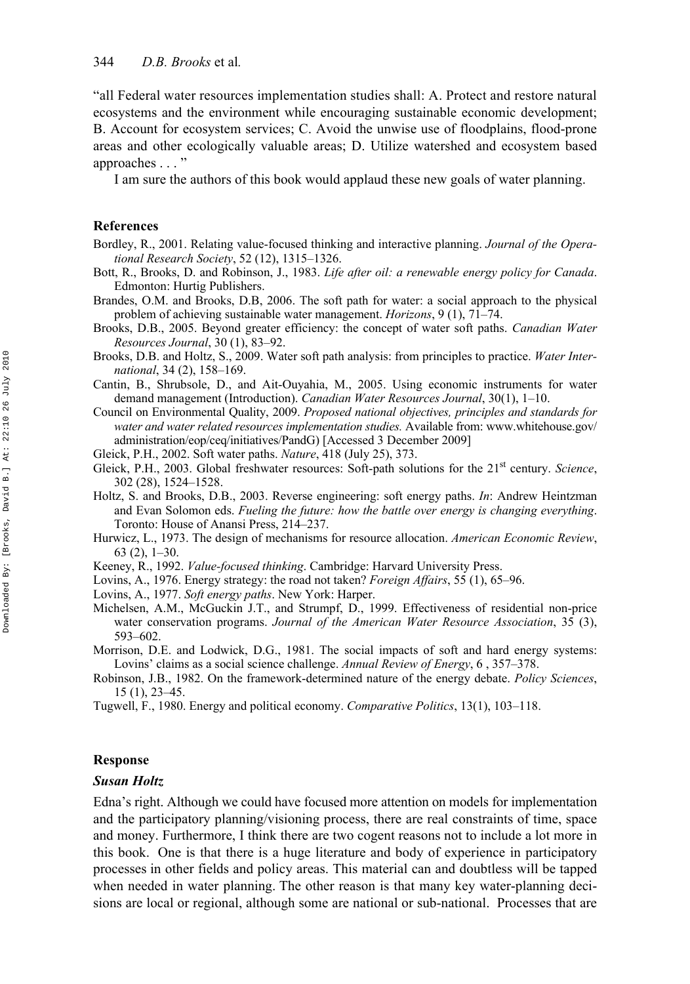"all Federal water resources implementation studies shall: A. Protect and restore natural ecosystems and the environment while encouraging sustainable economic development; B. Account for ecosystem services; C. Avoid the unwise use of floodplains, flood-prone areas and other ecologically valuable areas; D. Utilize watershed and ecosystem based approaches . . . "

I am sure the authors of this book would applaud these new goals of water planning.

#### **References**

- Bordley, R., 2001. Relating value-focused thinking and interactive planning. *Journal of the Operational Research Society*, 52 (12), 1315–1326.
- Bott, R., Brooks, D. and Robinson, J., 1983. *Life after oil: a renewable energy policy for Canada*. Edmonton: Hurtig Publishers.
- Brandes, O.M. and Brooks, D.B, 2006. The soft path for water: a social approach to the physical problem of achieving sustainable water management. *Horizons*, 9 (1), 71–74.
- Brooks, D.B., 2005. Beyond greater efficiency: the concept of water soft paths. *Canadian Water Resources Journal*, 30 (1), 83–92.
- Brooks, D.B. and Holtz, S., 2009. Water soft path analysis: from principles to practice. *Water International*, 34 (2), 158–169.
- Cantin, B., Shrubsole, D., and Ait-Ouyahia, M., 2005. Using economic instruments for water demand management (Introduction). *Canadian Water Resources Journal*, 30(1), 1–10.
- Council on Environmental Quality, 2009. *Proposed national objectives, principles and standards for water and water related resources implementation studies.* Available from: [www.whitehouse.gov/](http://www.whitehouse.gov/administration/eop/ceq/initiatives/PandG)) [administration/eop/ceq/initiatives/PandG\)](http://www.whitehouse.gov/administration/eop/ceq/initiatives/PandG)) [Accessed 3 December 2009]
- Gleick, P.H., 2002. Soft water paths. *Nature*, 418 (July 25), 373.
- Gleick, P.H., 2003. Global freshwater resources: Soft-path solutions for the 21st century. *Science*, 302 (28), 1524–1528.
- Holtz, S. and Brooks, D.B., 2003. Reverse engineering: soft energy paths. *In*: Andrew Heintzman and Evan Solomon eds. *Fueling the future: how the battle over energy is changing everything*. Toronto: House of Anansi Press, 214–237.
- Hurwicz, L., 1973. The design of mechanisms for resource allocation. *American Economic Review*, 63 (2), 1–30.
- Keeney, R., 1992. *Value-focused thinking*. Cambridge: Harvard University Press.
- Lovins, A., 1976. Energy strategy: the road not taken? *Foreign Affairs*, 55 (1), 65–96.
- Lovins, A., 1977. *Soft energy paths*. New York: Harper.
- Michelsen, A.M., McGuckin J.T., and Strumpf, D., 1999. Effectiveness of residential non-price water conservation programs. *Journal of the American Water Resource Association*, 35 (3), 593–602.
- Morrison, D.E. and Lodwick, D.G., 1981. The social impacts of soft and hard energy systems: Lovins' claims as a social science challenge. *Annual Review of Energy*, 6 , 357–378.
- Robinson, J.B., 1982. On the framework-determined nature of the energy debate. *Policy Sciences*, 15 (1), 23–45.
- Tugwell, F., 1980. Energy and political economy. *Comparative Politics*, 13(1), 103–118.

#### **Response**

#### *Susan Holtz*

Edna's right. Although we could have focused more attention on models for implementation and the participatory planning/visioning process, there are real constraints of time, space and money. Furthermore, I think there are two cogent reasons not to include a lot more in this book. One is that there is a huge literature and body of experience in participatory processes in other fields and policy areas. This material can and doubtless will be tapped when needed in water planning. The other reason is that many key water-planning deci-sions are local or regional, although some are national or sub-national. Processes that are